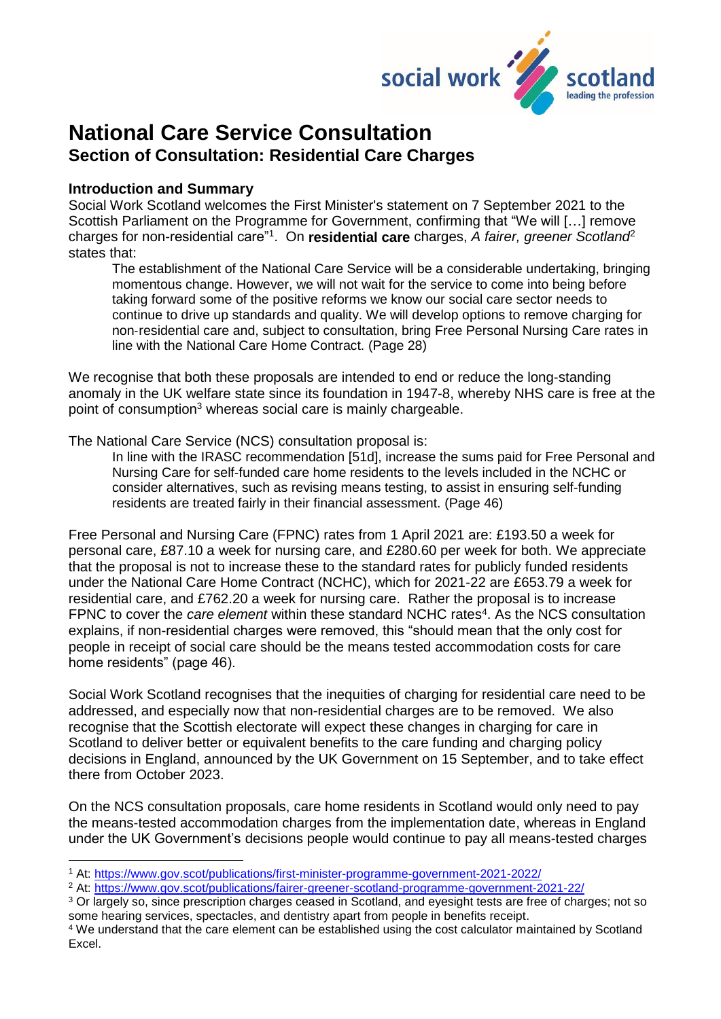

# **National Care Service Consultation Section of Consultation: Residential Care Charges**

#### **Introduction and Summary**

1

Social Work Scotland welcomes the First Minister's statement on 7 September 2021 to the Scottish Parliament on the Programme for Government, confirming that "We will […] remove charges for non-residential care<sup>"1</sup>. On residential care charges, *A fairer, greener Scotland<sup>2</sup>* states that:

The establishment of the National Care Service will be a considerable undertaking, bringing momentous change. However, we will not wait for the service to come into being before taking forward some of the positive reforms we know our social care sector needs to continue to drive up standards and quality. We will develop options to remove charging for non‑residential care and, subject to consultation, bring Free Personal Nursing Care rates in line with the National Care Home Contract. (Page 28)

We recognise that both these proposals are intended to end or reduce the long-standing anomaly in the UK welfare state since its foundation in 1947-8, whereby NHS care is free at the point of consumption<sup>3</sup> whereas social care is mainly chargeable.

The National Care Service (NCS) consultation proposal is:

In line with the IRASC recommendation [51d], increase the sums paid for Free Personal and Nursing Care for self-funded care home residents to the levels included in the NCHC or consider alternatives, such as revising means testing, to assist in ensuring self-funding residents are treated fairly in their financial assessment. (Page 46)

Free Personal and Nursing Care (FPNC) rates from 1 April 2021 are: £193.50 a week for personal care, £87.10 a week for nursing care, and £280.60 per week for both. We appreciate that the proposal is not to increase these to the standard rates for publicly funded residents under the National Care Home Contract (NCHC), which for 2021-22 are £653.79 a week for residential care, and £762.20 a week for nursing care. Rather the proposal is to increase FPNC to cover the *care element* within these standard NCHC rates<sup>4</sup>. As the NCS consultation explains, if non-residential charges were removed, this "should mean that the only cost for people in receipt of social care should be the means tested accommodation costs for care home residents" (page 46).

Social Work Scotland recognises that the inequities of charging for residential care need to be addressed, and especially now that non-residential charges are to be removed. We also recognise that the Scottish electorate will expect these changes in charging for care in Scotland to deliver better or equivalent benefits to the care funding and charging policy decisions in England, announced by the UK Government on 15 September, and to take effect there from October 2023.

On the NCS consultation proposals, care home residents in Scotland would only need to pay the means-tested accommodation charges from the implementation date, whereas in England under the UK Government's decisions people would continue to pay all means-tested charges

<sup>2</sup> At: [https://www.gov.scot/publications/fairer-greener-scotland-programme-government-2021-22/](about:blank)

<sup>3</sup> Or largely so, since prescription charges ceased in Scotland, and eyesight tests are free of charges; not so some hearing services, spectacles, and dentistry apart from people in benefits receipt.

<sup>1</sup> At: [https://www.gov.scot/publications/first-minister-programme-government-2021-2022/](about:blank)

<sup>4</sup> We understand that the care element can be established using the cost calculator maintained by Scotland Excel.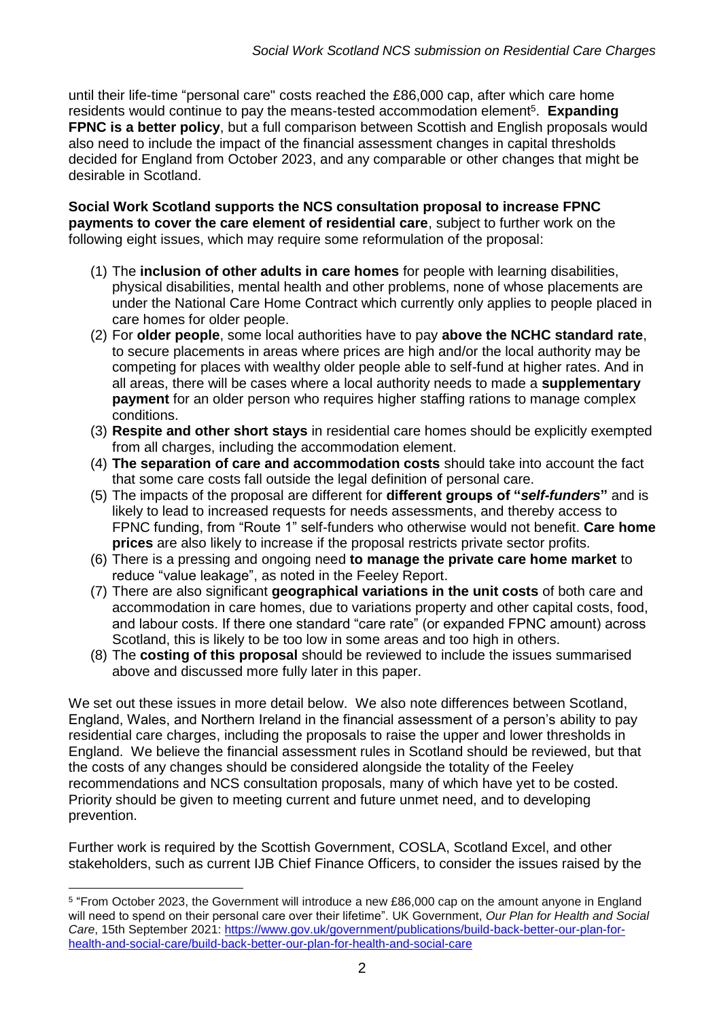until their life-time "personal care" costs reached the £86,000 cap, after which care home residents would continue to pay the means-tested accommodation element<sup>5</sup>. Expanding **FPNC is a better policy**, but a full comparison between Scottish and English proposals would also need to include the impact of the financial assessment changes in capital thresholds decided for England from October 2023, and any comparable or other changes that might be desirable in Scotland.

**Social Work Scotland supports the NCS consultation proposal to increase FPNC payments to cover the care element of residential care**, subject to further work on the following eight issues, which may require some reformulation of the proposal:

- (1) The **inclusion of other adults in care homes** for people with learning disabilities, physical disabilities, mental health and other problems, none of whose placements are under the National Care Home Contract which currently only applies to people placed in care homes for older people.
- (2) For **older people**, some local authorities have to pay **above the NCHC standard rate**, to secure placements in areas where prices are high and/or the local authority may be competing for places with wealthy older people able to self-fund at higher rates. And in all areas, there will be cases where a local authority needs to made a **supplementary payment** for an older person who requires higher staffing rations to manage complex conditions.
- (3) **Respite and other short stays** in residential care homes should be explicitly exempted from all charges, including the accommodation element.
- (4) **The separation of care and accommodation costs** should take into account the fact that some care costs fall outside the legal definition of personal care.
- (5) The impacts of the proposal are different for **different groups of "***self-funders***"** and is likely to lead to increased requests for needs assessments, and thereby access to FPNC funding, from "Route 1" self-funders who otherwise would not benefit. **Care home prices** are also likely to increase if the proposal restricts private sector profits.
- (6) There is a pressing and ongoing need **to manage the private care home market** to reduce "value leakage", as noted in the Feeley Report.
- (7) There are also significant **geographical variations in the unit costs** of both care and accommodation in care homes, due to variations property and other capital costs, food, and labour costs. If there one standard "care rate" (or expanded FPNC amount) across Scotland, this is likely to be too low in some areas and too high in others.
- (8) The **costing of this proposal** should be reviewed to include the issues summarised above and discussed more fully later in this paper.

We set out these issues in more detail below. We also note differences between Scotland, England, Wales, and Northern Ireland in the financial assessment of a person's ability to pay residential care charges, including the proposals to raise the upper and lower thresholds in England. We believe the financial assessment rules in Scotland should be reviewed, but that the costs of any changes should be considered alongside the totality of the Feeley recommendations and NCS consultation proposals, many of which have yet to be costed. Priority should be given to meeting current and future unmet need, and to developing prevention.

Further work is required by the Scottish Government, COSLA, Scotland Excel, and other stakeholders, such as current IJB Chief Finance Officers, to consider the issues raised by the

<sup>5</sup> "From October 2023, the Government will introduce a new £86,000 cap on the amount anyone in England will need to spend on their personal care over their lifetime". UK Government, *Our Plan for Health and Social Care*, 15th September 2021: [https://www.gov.uk/government/publications/build-back-better-our-plan-for](about:blank)[health-and-social-care/build-back-better-our-plan-for-health-and-social-care](about:blank)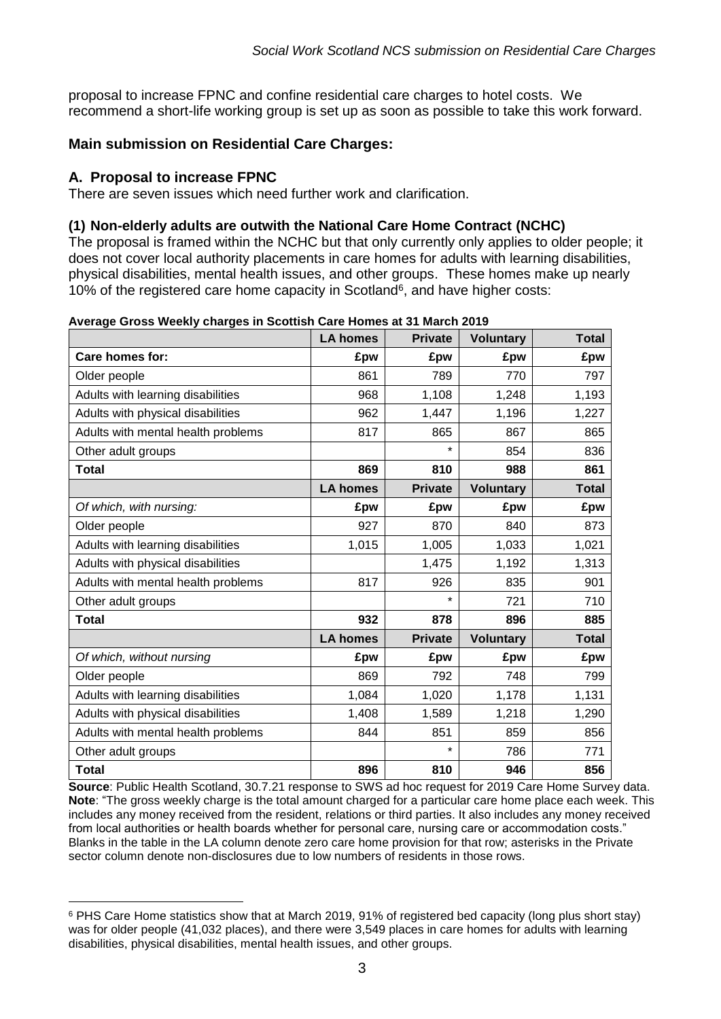proposal to increase FPNC and confine residential care charges to hotel costs. We recommend a short-life working group is set up as soon as possible to take this work forward.

# **Main submission on Residential Care Charges:**

### **A. Proposal to increase FPNC**

There are seven issues which need further work and clarification.

#### **(1) Non-elderly adults are outwith the National Care Home Contract (NCHC)**

The proposal is framed within the NCHC but that only currently only applies to older people; it does not cover local authority placements in care homes for adults with learning disabilities, physical disabilities, mental health issues, and other groups. These homes make up nearly 10% of the registered care home capacity in Scotland<sup>6</sup>, and have higher costs:

|                                    | <b>LA homes</b> | <b>Private</b> | <b>Voluntary</b> | <b>Total</b> |
|------------------------------------|-----------------|----------------|------------------|--------------|
| Care homes for:                    | £pw             | £pw            | £pw              | £pw          |
| Older people                       | 861             | 789            | 770              | 797          |
| Adults with learning disabilities  | 968             | 1,108          | 1,248            | 1,193        |
| Adults with physical disabilities  | 962             | 1,447          | 1,196            | 1,227        |
| Adults with mental health problems | 817             | 865            | 867              | 865          |
| Other adult groups                 |                 |                | 854              | 836          |
| <b>Total</b>                       | 869             | 810            | 988              | 861          |
|                                    | <b>LA homes</b> | <b>Private</b> | <b>Voluntary</b> | <b>Total</b> |
| Of which, with nursing:            | £pw             | £pw            | £pw              | £pw          |
| Older people                       | 927             | 870            | 840              | 873          |
| Adults with learning disabilities  | 1,015           | 1,005          | 1,033            | 1,021        |
| Adults with physical disabilities  |                 | 1,475          | 1,192            | 1,313        |
| Adults with mental health problems | 817             | 926            | 835              | 901          |
| Other adult groups                 |                 | ¥              | 721              | 710          |
| Total                              | 932             | 878            | 896              | 885          |
|                                    | <b>LA homes</b> | <b>Private</b> | <b>Voluntary</b> | <b>Total</b> |
| Of which, without nursing          | £pw             | £pw            | £pw              | £pw          |
| Older people                       | 869             | 792            | 748              | 799          |
| Adults with learning disabilities  | 1,084           | 1,020          | 1,178            | 1,131        |
| Adults with physical disabilities  | 1,408           | 1,589          | 1,218            | 1,290        |
| Adults with mental health problems | 844             | 851            | 859              | 856          |
| Other adult groups                 |                 | $\star$        | 786              | 771          |
| <b>Total</b>                       | 896             | 810            | 946              | 856          |

|  | Average Gross Weekly charges in Scottish Care Homes at 31 March 2019 |  |
|--|----------------------------------------------------------------------|--|
|--|----------------------------------------------------------------------|--|

**Source**: Public Health Scotland, 30.7.21 response to SWS ad hoc request for 2019 Care Home Survey data. **Note**: "The gross weekly charge is the total amount charged for a particular care home place each week. This includes any money received from the resident, relations or third parties. It also includes any money received from local authorities or health boards whether for personal care, nursing care or accommodation costs." Blanks in the table in the LA column denote zero care home provision for that row; asterisks in the Private sector column denote non-disclosures due to low numbers of residents in those rows.

<sup>1</sup> <sup>6</sup> PHS Care Home statistics show that at March 2019, 91% of registered bed capacity (long plus short stay) was for older people (41,032 places), and there were 3,549 places in care homes for adults with learning disabilities, physical disabilities, mental health issues, and other groups.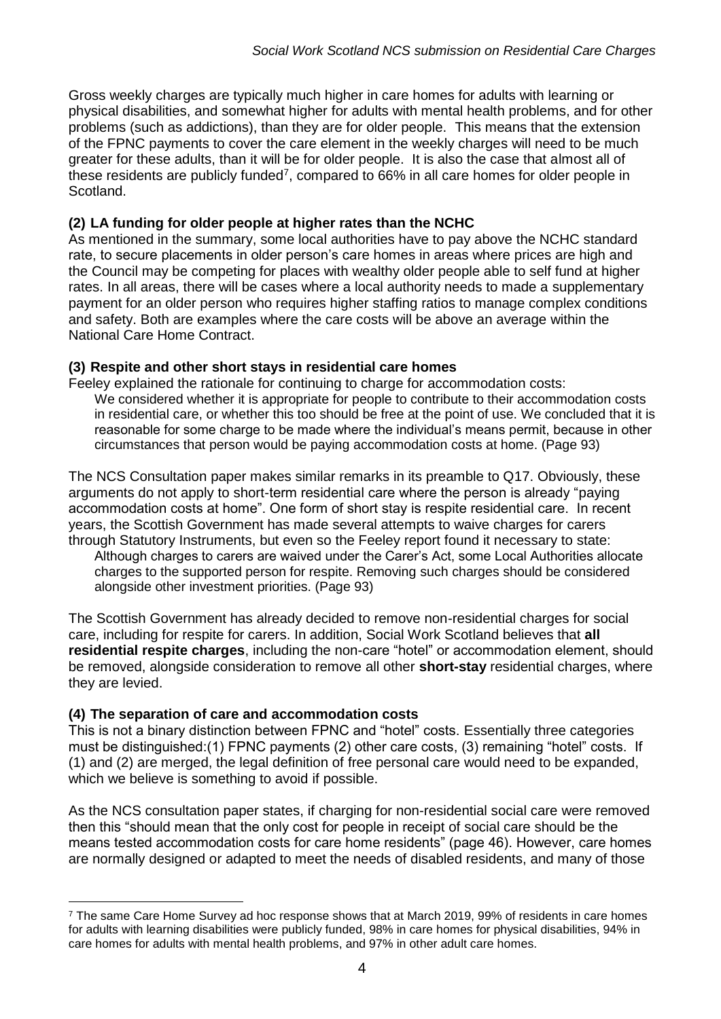Gross weekly charges are typically much higher in care homes for adults with learning or physical disabilities, and somewhat higher for adults with mental health problems, and for other problems (such as addictions), than they are for older people. This means that the extension of the FPNC payments to cover the care element in the weekly charges will need to be much greater for these adults, than it will be for older people. It is also the case that almost all of these residents are publicly funded<sup>7</sup>, compared to 66% in all care homes for older people in Scotland.

## **(2) LA funding for older people at higher rates than the NCHC**

As mentioned in the summary, some local authorities have to pay above the NCHC standard rate, to secure placements in older person's care homes in areas where prices are high and the Council may be competing for places with wealthy older people able to self fund at higher rates. In all areas, there will be cases where a local authority needs to made a supplementary payment for an older person who requires higher staffing ratios to manage complex conditions and safety. Both are examples where the care costs will be above an average within the National Care Home Contract.

### **(3) Respite and other short stays in residential care homes**

Feeley explained the rationale for continuing to charge for accommodation costs: We considered whether it is appropriate for people to contribute to their accommodation costs in residential care, or whether this too should be free at the point of use. We concluded that it is reasonable for some charge to be made where the individual's means permit, because in other circumstances that person would be paying accommodation costs at home. (Page 93)

The NCS Consultation paper makes similar remarks in its preamble to Q17. Obviously, these arguments do not apply to short-term residential care where the person is already "paying accommodation costs at home". One form of short stay is respite residential care. In recent years, the Scottish Government has made several attempts to waive charges for carers through Statutory Instruments, but even so the Feeley report found it necessary to state:

Although charges to carers are waived under the Carer's Act, some Local Authorities allocate charges to the supported person for respite. Removing such charges should be considered alongside other investment priorities. (Page 93)

The Scottish Government has already decided to remove non-residential charges for social care, including for respite for carers. In addition, Social Work Scotland believes that **all residential respite charges**, including the non-care "hotel" or accommodation element, should be removed, alongside consideration to remove all other **short-stay** residential charges, where they are levied.

#### **(4) The separation of care and accommodation costs**

This is not a binary distinction between FPNC and "hotel" costs. Essentially three categories must be distinguished:(1) FPNC payments (2) other care costs, (3) remaining "hotel" costs. If (1) and (2) are merged, the legal definition of free personal care would need to be expanded, which we believe is something to avoid if possible.

As the NCS consultation paper states, if charging for non-residential social care were removed then this "should mean that the only cost for people in receipt of social care should be the means tested accommodation costs for care home residents" (page 46). However, care homes are normally designed or adapted to meet the needs of disabled residents, and many of those

<sup>1</sup>  $7$  The same Care Home Survey ad hoc response shows that at March 2019, 99% of residents in care homes for adults with learning disabilities were publicly funded, 98% in care homes for physical disabilities, 94% in care homes for adults with mental health problems, and 97% in other adult care homes.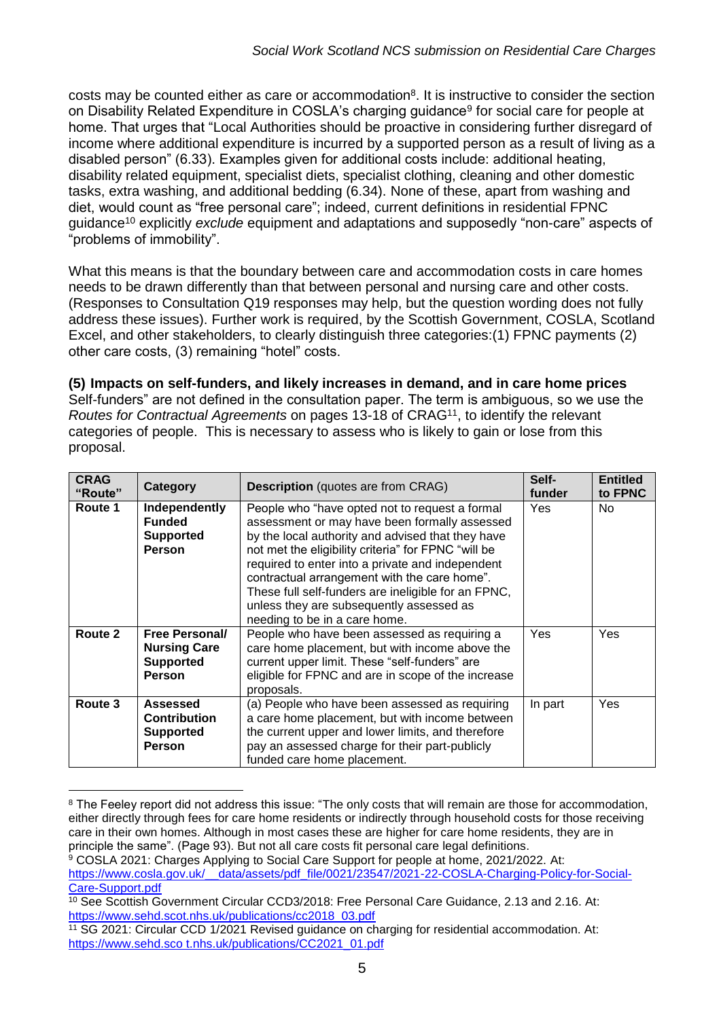costs may be counted either as care or accommodation<sup>8</sup>. It is instructive to consider the section on Disability Related Expenditure in COSLA's charging guidance<sup>9</sup> for social care for people at home. That urges that "Local Authorities should be proactive in considering further disregard of income where additional expenditure is incurred by a supported person as a result of living as a disabled person" (6.33). Examples given for additional costs include: additional heating, disability related equipment, specialist diets, specialist clothing, cleaning and other domestic tasks, extra washing, and additional bedding (6.34). None of these, apart from washing and diet, would count as "free personal care"; indeed, current definitions in residential FPNC guidance<sup>10</sup> explicitly *exclude* equipment and adaptations and supposedly "non-care" aspects of "problems of immobility".

What this means is that the boundary between care and accommodation costs in care homes needs to be drawn differently than that between personal and nursing care and other costs. (Responses to Consultation Q19 responses may help, but the question wording does not fully address these issues). Further work is required, by the Scottish Government, COSLA, Scotland Excel, and other stakeholders, to clearly distinguish three categories:(1) FPNC payments (2) other care costs, (3) remaining "hotel" costs.

**(5) Impacts on self-funders, and likely increases in demand, and in care home prices** Self-funders" are not defined in the consultation paper. The term is ambiguous, so we use the *Routes for Contractual Agreements* on pages 13-18 of CRAG<sup>11</sup>, to identify the relevant categories of people. This is necessary to assess who is likely to gain or lose from this proposal.

| <b>CRAG</b><br>"Route" | Category                                                                          | <b>Description</b> (quotes are from CRAG)                                                                                                                                                                                                                                                                                                                                                                                                           | Self-<br>funder | <b>Entitled</b><br>to FPNC |
|------------------------|-----------------------------------------------------------------------------------|-----------------------------------------------------------------------------------------------------------------------------------------------------------------------------------------------------------------------------------------------------------------------------------------------------------------------------------------------------------------------------------------------------------------------------------------------------|-----------------|----------------------------|
| Route 1                | Independently<br><b>Funded</b><br><b>Supported</b><br>Person                      | People who "have opted not to request a formal<br>assessment or may have been formally assessed<br>by the local authority and advised that they have<br>not met the eligibility criteria" for FPNC "will be<br>required to enter into a private and independent<br>contractual arrangement with the care home".<br>These full self-funders are ineligible for an FPNC,<br>unless they are subsequently assessed as<br>needing to be in a care home. | Yes             | No.                        |
| Route 2                | <b>Free Personal/</b><br><b>Nursing Care</b><br><b>Supported</b><br><b>Person</b> | People who have been assessed as requiring a<br>care home placement, but with income above the<br>current upper limit. These "self-funders" are<br>eligible for FPNC and are in scope of the increase<br>proposals.                                                                                                                                                                                                                                 | Yes             | Yes                        |
| Route 3                | <b>Assessed</b><br><b>Contribution</b><br><b>Supported</b><br><b>Person</b>       | (a) People who have been assessed as requiring<br>a care home placement, but with income between<br>the current upper and lower limits, and therefore<br>pay an assessed charge for their part-publicly<br>funded care home placement.                                                                                                                                                                                                              | In part         | Yes                        |

<sup>1</sup> <sup>8</sup> The Feeley report did not address this issue: "The only costs that will remain are those for accommodation, either directly through fees for care home residents or indirectly through household costs for those receiving care in their own homes. Although in most cases these are higher for care home residents, they are in principle the same". (Page 93). But not all care costs fit personal care legal definitions.

<sup>&</sup>lt;sup>9</sup> COSLA 2021: Charges Applying to Social Care Support for people at home, 2021/2022. At: https://www.cosla.gov.uk/ data/assets/pdf file/0021/23547/2021-22-COSLA-Charging-Policy-for-Social-[Care-Support.pdf](about:blank)

<sup>10</sup> See Scottish Government Circular CCD3/2018: Free Personal Care Guidance, 2.13 and 2.16. At: [https://www.sehd.scot.nhs.uk/publications/cc2018\\_03.pdf](about:blank)

<sup>11</sup> SG 2021: Circular CCD 1/2021 Revised guidance on charging for residential accommodation. At: https://www.sehd.sco t.nhs.uk/publications/CC2021\_01.pdf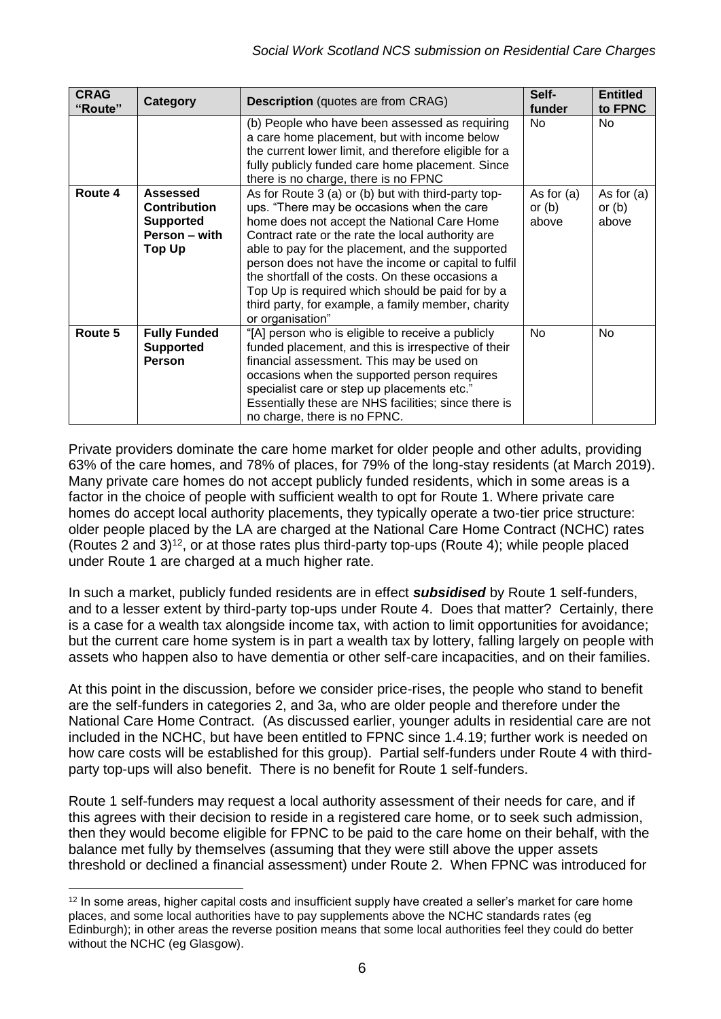| <b>CRAG</b><br>"Route" | Category                                                                              | <b>Description</b> (quotes are from CRAG)                                                                                                                                                                                                                                                                                                                                                                                                                                                           | Self-<br>funder                   | <b>Entitled</b><br>to FPNC        |
|------------------------|---------------------------------------------------------------------------------------|-----------------------------------------------------------------------------------------------------------------------------------------------------------------------------------------------------------------------------------------------------------------------------------------------------------------------------------------------------------------------------------------------------------------------------------------------------------------------------------------------------|-----------------------------------|-----------------------------------|
|                        |                                                                                       | (b) People who have been assessed as requiring<br>a care home placement, but with income below<br>the current lower limit, and therefore eligible for a<br>fully publicly funded care home placement. Since<br>there is no charge, there is no FPNC                                                                                                                                                                                                                                                 | No                                | No                                |
| Route 4                | Assessed<br><b>Contribution</b><br><b>Supported</b><br>Person - with<br><b>Top Up</b> | As for Route 3 (a) or (b) but with third-party top-<br>ups. "There may be occasions when the care<br>home does not accept the National Care Home<br>Contract rate or the rate the local authority are<br>able to pay for the placement, and the supported<br>person does not have the income or capital to fulfil<br>the shortfall of the costs. On these occasions a<br>Top Up is required which should be paid for by a<br>third party, for example, a family member, charity<br>or organisation" | As for $(a)$<br>or $(b)$<br>above | As for $(a)$<br>or $(b)$<br>above |
| Route 5                | <b>Fully Funded</b><br><b>Supported</b><br>Person                                     | "[A] person who is eligible to receive a publicly<br>funded placement, and this is irrespective of their<br>financial assessment. This may be used on<br>occasions when the supported person requires<br>specialist care or step up placements etc."<br>Essentially these are NHS facilities; since there is<br>no charge, there is no FPNC.                                                                                                                                                        | No                                | No                                |

Private providers dominate the care home market for older people and other adults, providing 63% of the care homes, and 78% of places, for 79% of the long-stay residents (at March 2019). Many private care homes do not accept publicly funded residents, which in some areas is a factor in the choice of people with sufficient wealth to opt for Route 1. Where private care homes do accept local authority placements, they typically operate a two-tier price structure: older people placed by the LA are charged at the National Care Home Contract (NCHC) rates (Routes 2 and 3)<sup>12</sup>, or at those rates plus third-party top-ups (Route 4); while people placed under Route 1 are charged at a much higher rate.

In such a market, publicly funded residents are in effect *subsidised* by Route 1 self-funders, and to a lesser extent by third-party top-ups under Route 4. Does that matter? Certainly, there is a case for a wealth tax alongside income tax, with action to limit opportunities for avoidance; but the current care home system is in part a wealth tax by lottery, falling largely on people with assets who happen also to have dementia or other self-care incapacities, and on their families.

At this point in the discussion, before we consider price-rises, the people who stand to benefit are the self-funders in categories 2, and 3a, who are older people and therefore under the National Care Home Contract. (As discussed earlier, younger adults in residential care are not included in the NCHC, but have been entitled to FPNC since 1.4.19; further work is needed on how care costs will be established for this group). Partial self-funders under Route 4 with thirdparty top-ups will also benefit. There is no benefit for Route 1 self-funders.

Route 1 self-funders may request a local authority assessment of their needs for care, and if this agrees with their decision to reside in a registered care home, or to seek such admission, then they would become eligible for FPNC to be paid to the care home on their behalf, with the balance met fully by themselves (assuming that they were still above the upper assets threshold or declined a financial assessment) under Route 2. When FPNC was introduced for

<sup>&</sup>lt;sup>12</sup> In some areas, higher capital costs and insufficient supply have created a seller's market for care home places, and some local authorities have to pay supplements above the NCHC standards rates (eg Edinburgh); in other areas the reverse position means that some local authorities feel they could do better without the NCHC (eg Glasgow).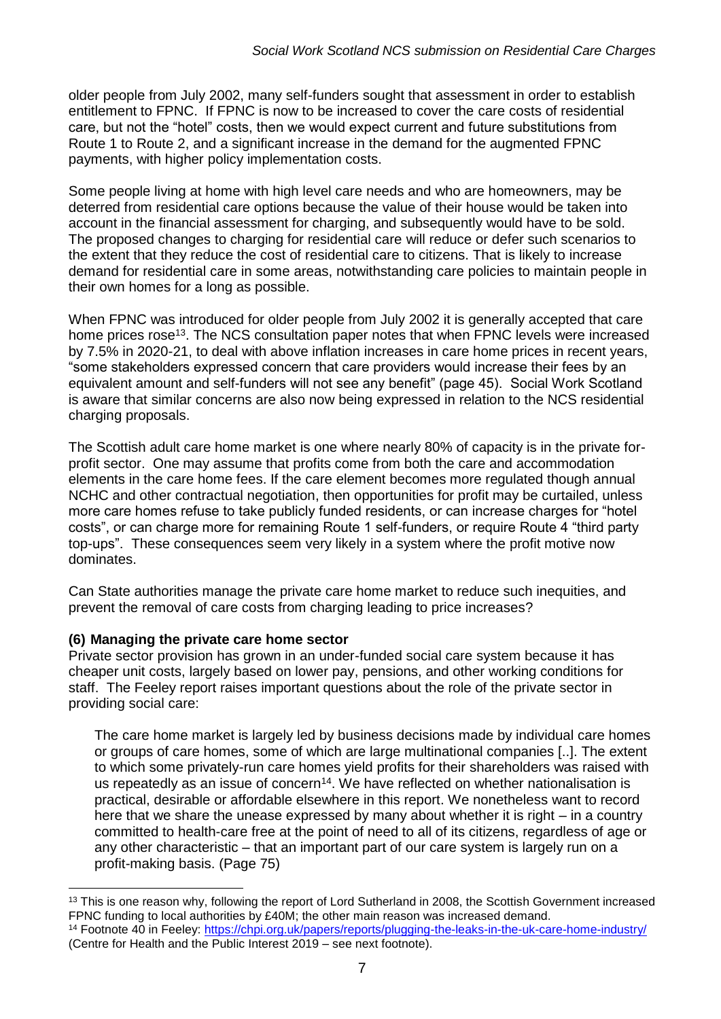older people from July 2002, many self-funders sought that assessment in order to establish entitlement to FPNC. If FPNC is now to be increased to cover the care costs of residential care, but not the "hotel" costs, then we would expect current and future substitutions from Route 1 to Route 2, and a significant increase in the demand for the augmented FPNC payments, with higher policy implementation costs.

Some people living at home with high level care needs and who are homeowners, may be deterred from residential care options because the value of their house would be taken into account in the financial assessment for charging, and subsequently would have to be sold. The proposed changes to charging for residential care will reduce or defer such scenarios to the extent that they reduce the cost of residential care to citizens. That is likely to increase demand for residential care in some areas, notwithstanding care policies to maintain people in their own homes for a long as possible.

When FPNC was introduced for older people from July 2002 it is generally accepted that care home prices rose<sup>13</sup>. The NCS consultation paper notes that when FPNC levels were increased by 7.5% in 2020-21, to deal with above inflation increases in care home prices in recent years, "some stakeholders expressed concern that care providers would increase their fees by an equivalent amount and self-funders will not see any benefit" (page 45). Social Work Scotland is aware that similar concerns are also now being expressed in relation to the NCS residential charging proposals.

The Scottish adult care home market is one where nearly 80% of capacity is in the private forprofit sector. One may assume that profits come from both the care and accommodation elements in the care home fees. If the care element becomes more regulated though annual NCHC and other contractual negotiation, then opportunities for profit may be curtailed, unless more care homes refuse to take publicly funded residents, or can increase charges for "hotel costs", or can charge more for remaining Route 1 self-funders, or require Route 4 "third party top-ups". These consequences seem very likely in a system where the profit motive now dominates.

Can State authorities manage the private care home market to reduce such inequities, and prevent the removal of care costs from charging leading to price increases?

#### **(6) Managing the private care home sector**

1

Private sector provision has grown in an under-funded social care system because it has cheaper unit costs, largely based on lower pay, pensions, and other working conditions for staff. The Feeley report raises important questions about the role of the private sector in providing social care:

The care home market is largely led by business decisions made by individual care homes or groups of care homes, some of which are large multinational companies [..]. The extent to which some privately-run care homes yield profits for their shareholders was raised with us repeatedly as an issue of concern<sup>14</sup>. We have reflected on whether nationalisation is practical, desirable or affordable elsewhere in this report. We nonetheless want to record here that we share the unease expressed by many about whether it is right – in a country committed to health-care free at the point of need to all of its citizens, regardless of age or any other characteristic – that an important part of our care system is largely run on a profit-making basis. (Page 75)

<sup>&</sup>lt;sup>13</sup> This is one reason why, following the report of Lord Sutherland in 2008, the Scottish Government increased FPNC funding to local authorities by £40M; the other main reason was increased demand.

<sup>14</sup> Footnote 40 in Feeley: [https://chpi.org.uk/papers/reports/plugging-the-leaks-in-the-uk-care-home-industry/](about:blank) (Centre for Health and the Public Interest 2019 – see next footnote).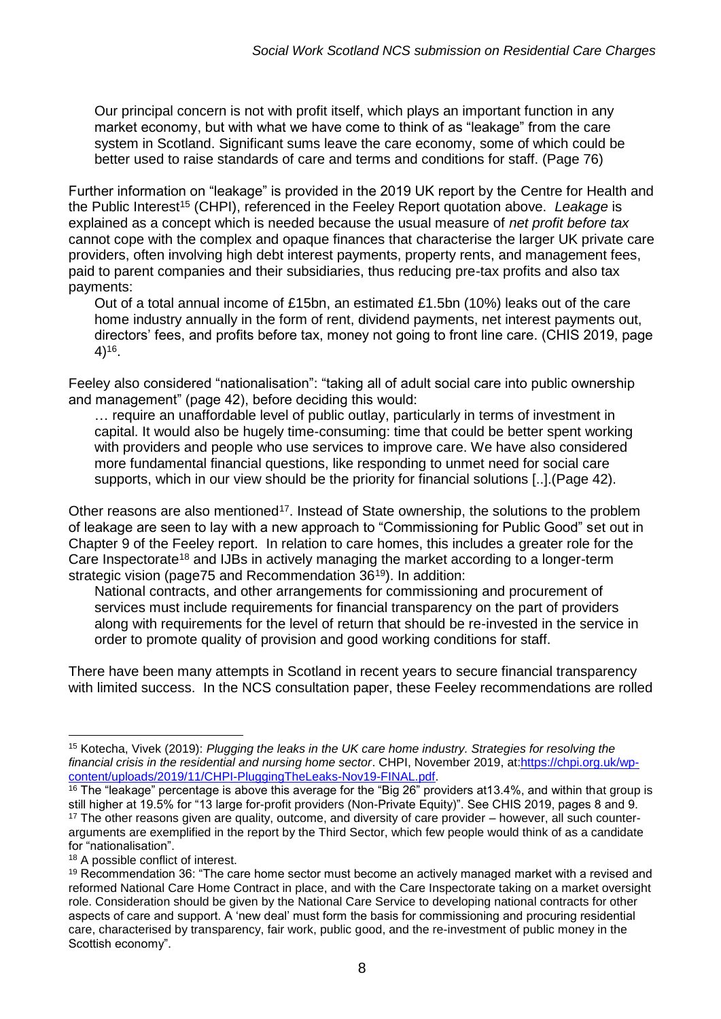Our principal concern is not with profit itself, which plays an important function in any market economy, but with what we have come to think of as "leakage" from the care system in Scotland. Significant sums leave the care economy, some of which could be better used to raise standards of care and terms and conditions for staff. (Page 76)

Further information on "leakage" is provided in the 2019 UK report by the Centre for Health and the Public Interest<sup>15</sup> (CHPI), referenced in the Feeley Report quotation above. *Leakage* is explained as a concept which is needed because the usual measure of *net profit before tax* cannot cope with the complex and opaque finances that characterise the larger UK private care providers, often involving high debt interest payments, property rents, and management fees, paid to parent companies and their subsidiaries, thus reducing pre-tax profits and also tax payments:

Out of a total annual income of £15bn, an estimated £1.5bn (10%) leaks out of the care home industry annually in the form of rent, dividend payments, net interest payments out, directors' fees, and profits before tax, money not going to front line care. (CHIS 2019, page 4)<sup>16</sup> .

Feeley also considered "nationalisation": "taking all of adult social care into public ownership and management" (page 42), before deciding this would:

… require an unaffordable level of public outlay, particularly in terms of investment in capital. It would also be hugely time-consuming: time that could be better spent working with providers and people who use services to improve care. We have also considered more fundamental financial questions, like responding to unmet need for social care supports, which in our view should be the priority for financial solutions [..].(Page 42).

Other reasons are also mentioned<sup>17</sup>. Instead of State ownership, the solutions to the problem of leakage are seen to lay with a new approach to "Commissioning for Public Good" set out in Chapter 9 of the Feeley report. In relation to care homes, this includes a greater role for the Care Inspectorate<sup>18</sup> and IJBs in actively managing the market according to a longer-term strategic vision (page75 and Recommendation 36<sup>19</sup>). In addition:

National contracts, and other arrangements for commissioning and procurement of services must include requirements for financial transparency on the part of providers along with requirements for the level of return that should be re-invested in the service in order to promote quality of provision and good working conditions for staff.

There have been many attempts in Scotland in recent years to secure financial transparency with limited success. In the NCS consultation paper, these Feeley recommendations are rolled

<sup>15</sup> Kotecha, Vivek (2019): *Plugging the leaks in the UK care home industry. Strategies for resolving the financial crisis in the residential and nursing home sector*. CHPI, November 2019, at[:https://chpi.org.uk/wp](https://chpi.org.uk/wp-content/uploads/2019/11/CHPI-PluggingTheLeaks-Nov19-FINAL.pdf)[content/uploads/2019/11/CHPI-PluggingTheLeaks-Nov19-FINAL.pdf.](https://chpi.org.uk/wp-content/uploads/2019/11/CHPI-PluggingTheLeaks-Nov19-FINAL.pdf)

 $\frac{16}{16}$  The "leakage" percentage is above this average for the "Big 26" providers at 13.4%, and within that group is still higher at 19.5% for "13 large for-profit providers (Non-Private Equity)". See CHIS 2019, pages 8 and 9. <sup>17</sup> The other reasons given are quality, outcome, and diversity of care provider – however, all such counterarguments are exemplified in the report by the Third Sector, which few people would think of as a candidate for "nationalisation".

<sup>&</sup>lt;sup>18</sup> A possible conflict of interest.

<sup>&</sup>lt;sup>19</sup> Recommendation 36: "The care home sector must become an actively managed market with a revised and reformed National Care Home Contract in place, and with the Care Inspectorate taking on a market oversight role. Consideration should be given by the National Care Service to developing national contracts for other aspects of care and support. A 'new deal' must form the basis for commissioning and procuring residential care, characterised by transparency, fair work, public good, and the re-investment of public money in the Scottish economy".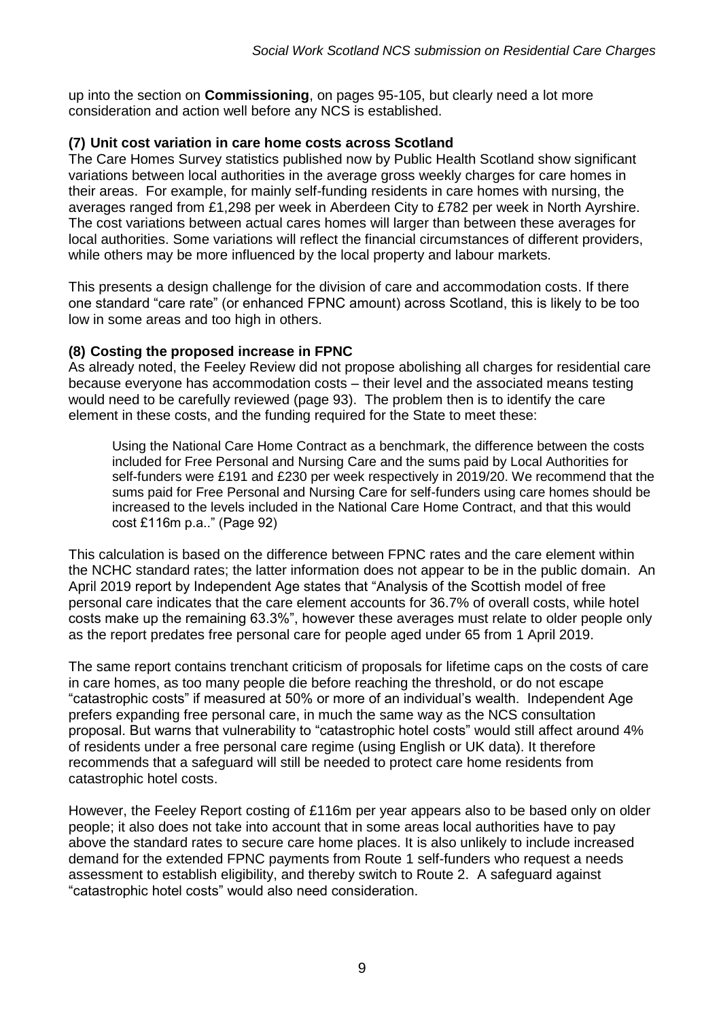up into the section on **Commissioning**, on pages 95-105, but clearly need a lot more consideration and action well before any NCS is established.

## **(7) Unit cost variation in care home costs across Scotland**

The Care Homes Survey statistics published now by Public Health Scotland show significant variations between local authorities in the average gross weekly charges for care homes in their areas. For example, for mainly self-funding residents in care homes with nursing, the averages ranged from £1,298 per week in Aberdeen City to £782 per week in North Ayrshire. The cost variations between actual cares homes will larger than between these averages for local authorities. Some variations will reflect the financial circumstances of different providers, while others may be more influenced by the local property and labour markets.

This presents a design challenge for the division of care and accommodation costs. If there one standard "care rate" (or enhanced FPNC amount) across Scotland, this is likely to be too low in some areas and too high in others.

### **(8) Costing the proposed increase in FPNC**

As already noted, the Feeley Review did not propose abolishing all charges for residential care because everyone has accommodation costs – their level and the associated means testing would need to be carefully reviewed (page 93). The problem then is to identify the care element in these costs, and the funding required for the State to meet these:

Using the National Care Home Contract as a benchmark, the difference between the costs included for Free Personal and Nursing Care and the sums paid by Local Authorities for self-funders were £191 and £230 per week respectively in 2019/20. We recommend that the sums paid for Free Personal and Nursing Care for self-funders using care homes should be increased to the levels included in the National Care Home Contract, and that this would cost £116m p.a.." (Page 92)

This calculation is based on the difference between FPNC rates and the care element within the NCHC standard rates; the latter information does not appear to be in the public domain. An April 2019 report by Independent Age states that "Analysis of the Scottish model of free personal care indicates that the care element accounts for 36.7% of overall costs, while hotel costs make up the remaining 63.3%", however these averages must relate to older people only as the report predates free personal care for people aged under 65 from 1 April 2019.

The same report contains trenchant criticism of proposals for lifetime caps on the costs of care in care homes, as too many people die before reaching the threshold, or do not escape "catastrophic costs" if measured at 50% or more of an individual's wealth. Independent Age prefers expanding free personal care, in much the same way as the NCS consultation proposal. But warns that vulnerability to "catastrophic hotel costs" would still affect around 4% of residents under a free personal care regime (using English or UK data). It therefore recommends that a safeguard will still be needed to protect care home residents from catastrophic hotel costs.

However, the Feeley Report costing of £116m per year appears also to be based only on older people; it also does not take into account that in some areas local authorities have to pay above the standard rates to secure care home places. It is also unlikely to include increased demand for the extended FPNC payments from Route 1 self-funders who request a needs assessment to establish eligibility, and thereby switch to Route 2. A safeguard against "catastrophic hotel costs" would also need consideration.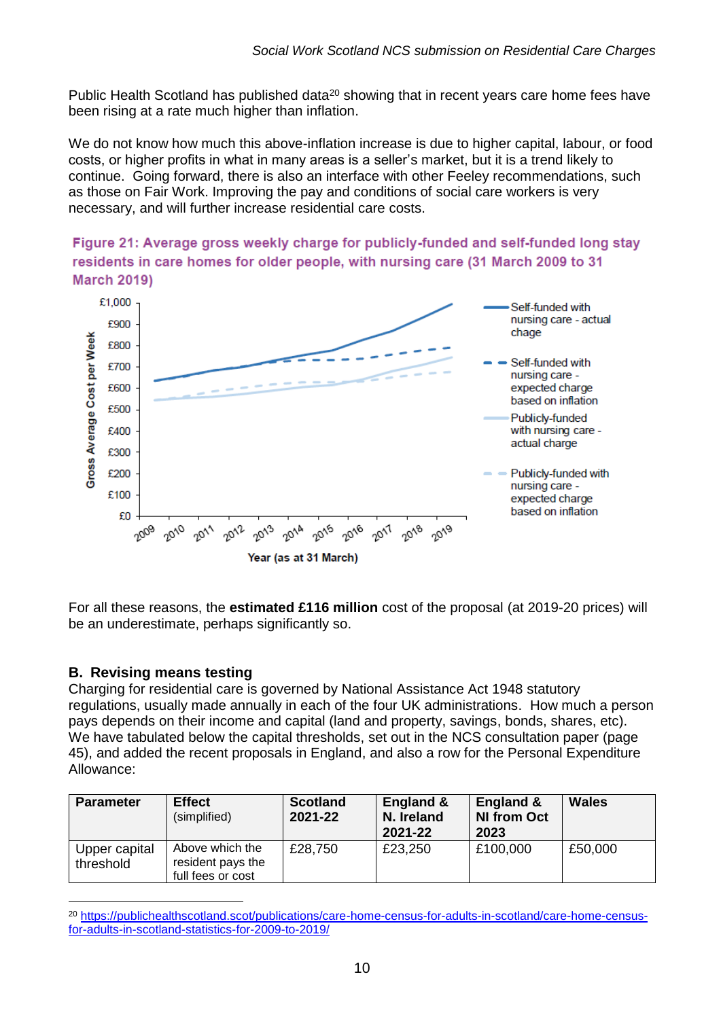Public Health Scotland has published data<sup>20</sup> showing that in recent years care home fees have been rising at a rate much higher than inflation.

We do not know how much this above-inflation increase is due to higher capital, labour, or food costs, or higher profits in what in many areas is a seller's market, but it is a trend likely to continue. Going forward, there is also an interface with other Feeley recommendations, such as those on Fair Work. Improving the pay and conditions of social care workers is very necessary, and will further increase residential care costs.





For all these reasons, the **estimated £116 million** cost of the proposal (at 2019-20 prices) will be an underestimate, perhaps significantly so.

# **B. Revising means testing**

Charging for residential care is governed by National Assistance Act 1948 statutory regulations, usually made annually in each of the four UK administrations. How much a person pays depends on their income and capital (land and property, savings, bonds, shares, etc). We have tabulated below the capital thresholds, set out in the NCS consultation paper (page 45), and added the recent proposals in England, and also a row for the Personal Expenditure Allowance:

| <b>Parameter</b>           | <b>Effect</b><br>(simplified)                             | <b>Scotland</b><br>2021-22 | England &<br>N. Ireland<br>2021-22 | England &<br><b>NI from Oct</b><br>2023 | <b>Wales</b> |
|----------------------------|-----------------------------------------------------------|----------------------------|------------------------------------|-----------------------------------------|--------------|
| Upper capital<br>threshold | Above which the<br>resident pays the<br>full fees or cost | £28,750                    | £23,250                            | £100,000                                | £50,000      |

<sup>1</sup> <sup>20</sup> [https://publichealthscotland.scot/publications/care-home-census-for-adults-in-scotland/care-home-census](about:blank)[for-adults-in-scotland-statistics-for-2009-to-2019/](about:blank)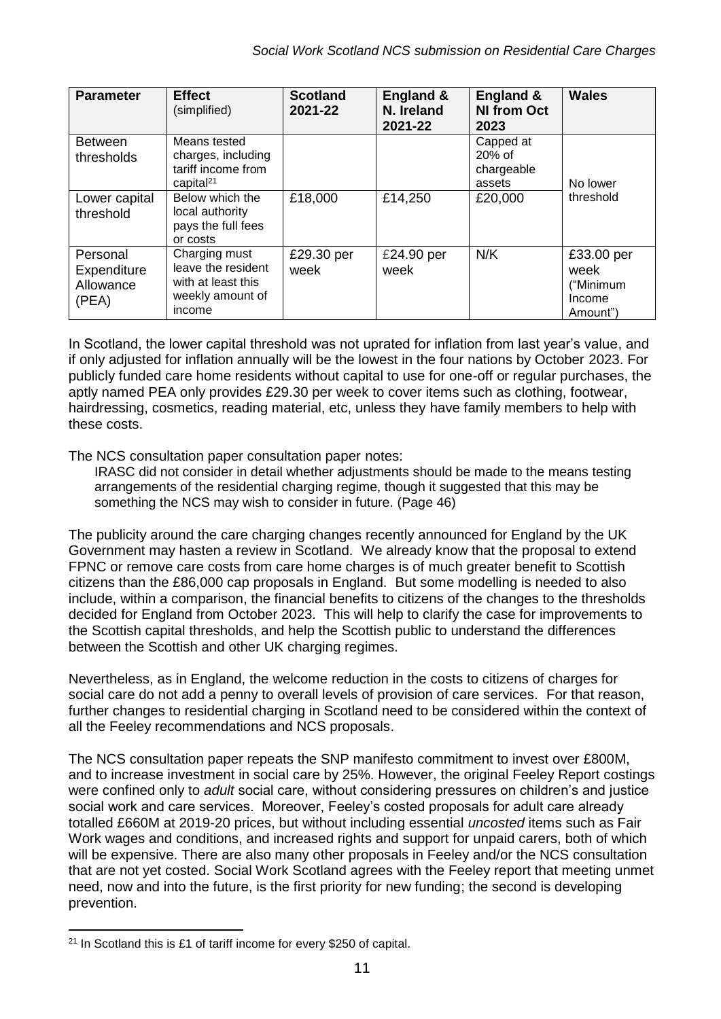| <b>Parameter</b>                              | <b>Effect</b><br>(simplified)                                                           | <b>Scotland</b><br>2021-22 | England &<br>N. Ireland<br>2021-22 | England &<br><b>NI from Oct</b><br>2023     | <b>Wales</b>                                          |
|-----------------------------------------------|-----------------------------------------------------------------------------------------|----------------------------|------------------------------------|---------------------------------------------|-------------------------------------------------------|
| <b>Between</b><br>thresholds                  | Means tested<br>charges, including<br>tariff income from<br>capital <sup>21</sup>       |                            |                                    | Capped at<br>20% of<br>chargeable<br>assets | No lower                                              |
| Lower capital<br>threshold                    | Below which the<br>local authority<br>pays the full fees<br>or costs                    | £18,000                    | £14,250                            | £20,000                                     | threshold                                             |
| Personal<br>Expenditure<br>Allowance<br>(PEA) | Charging must<br>leave the resident<br>with at least this<br>weekly amount of<br>income | £29.30 per<br>week         | £24.90 per<br>week                 | N/K                                         | £33.00 per<br>week<br>("Minimum<br>Income<br>Amount") |

In Scotland, the lower capital threshold was not uprated for inflation from last year's value, and if only adjusted for inflation annually will be the lowest in the four nations by October 2023. For publicly funded care home residents without capital to use for one-off or regular purchases, the aptly named PEA only provides £29.30 per week to cover items such as clothing, footwear, hairdressing, cosmetics, reading material, etc, unless they have family members to help with these costs.

The NCS consultation paper consultation paper notes:

IRASC did not consider in detail whether adjustments should be made to the means testing arrangements of the residential charging regime, though it suggested that this may be something the NCS may wish to consider in future. (Page 46)

The publicity around the care charging changes recently announced for England by the UK Government may hasten a review in Scotland. We already know that the proposal to extend FPNC or remove care costs from care home charges is of much greater benefit to Scottish citizens than the £86,000 cap proposals in England. But some modelling is needed to also include, within a comparison, the financial benefits to citizens of the changes to the thresholds decided for England from October 2023. This will help to clarify the case for improvements to the Scottish capital thresholds, and help the Scottish public to understand the differences between the Scottish and other UK charging regimes.

Nevertheless, as in England, the welcome reduction in the costs to citizens of charges for social care do not add a penny to overall levels of provision of care services. For that reason, further changes to residential charging in Scotland need to be considered within the context of all the Feeley recommendations and NCS proposals.

The NCS consultation paper repeats the SNP manifesto commitment to invest over £800M, and to increase investment in social care by 25%. However, the original Feeley Report costings were confined only to *adult* social care, without considering pressures on children's and justice social work and care services. Moreover, Feeley's costed proposals for adult care already totalled £660M at 2019-20 prices, but without including essential *uncosted* items such as Fair Work wages and conditions, and increased rights and support for unpaid carers, both of which will be expensive. There are also many other proposals in Feeley and/or the NCS consultation that are not yet costed. Social Work Scotland agrees with the Feeley report that meeting unmet need, now and into the future, is the first priority for new funding; the second is developing prevention.

<sup>21</sup> In Scotland this is £1 of tariff income for every \$250 of capital.